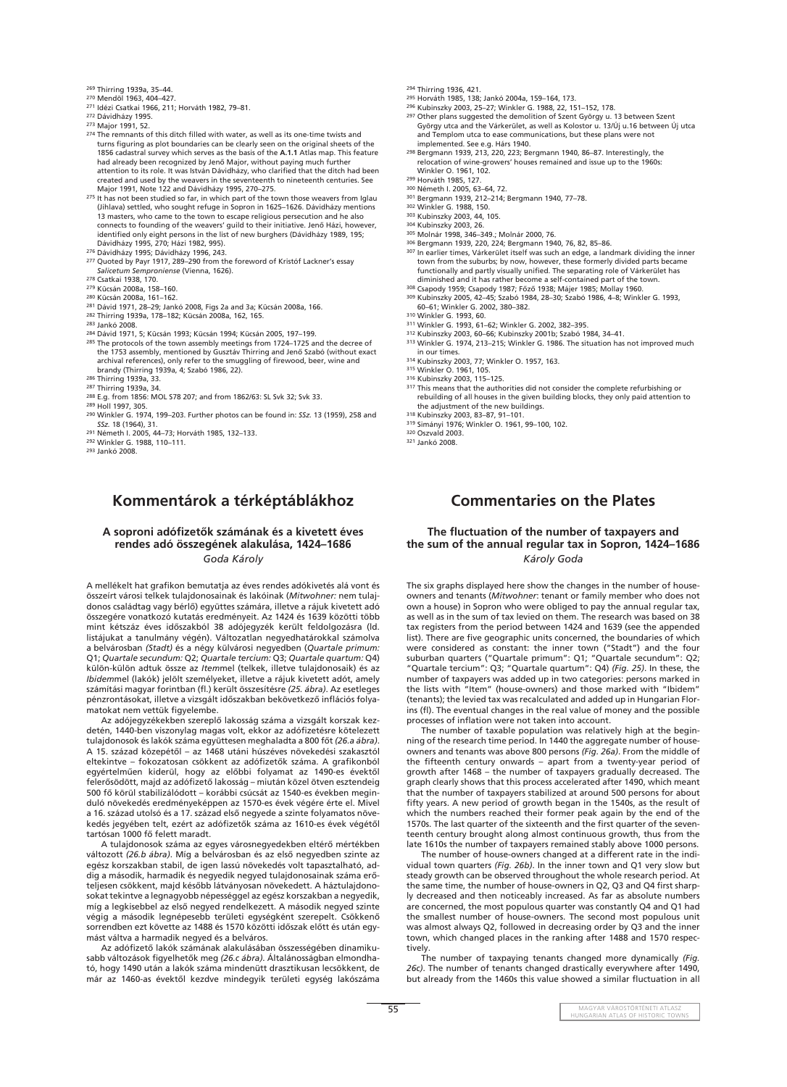**55** MAGYAR VÁROSTÖRTÉNETI ATLASZ HUNGARIAN ATLAS OF HISTORIC TOWNS

269 Thirring 1939a, 35–44.

- 270 Mendöl 1963, 404–427.
- 271 Idézi Csatkai 1966, 211; Horváth 1982, 79–81.
- 272 Dávidházy 1995.
- 273 Major 1991, 52.
- 274 The remnants of this ditch filled with water, as well as its one-time twists and turns figuring as plot boundaries can be clearly seen on the original sheets of the 1856 cadastral survey which serves as the basis of the **A.1.1** Atlas map. This feature had already been recognized by Jenô Major, without paying much further attention to its role. It was István Dávidházy, who clarified that the ditch had been created and used by the weavers in the seventeenth to nineteenth centuries. See Major 1991, Note 122 and Dávidházy 1995, 270–275.
- 275 It has not been studied so far, in which part of the town those weavers from Iglau (Jihlava) settled, who sought refuge in Sopron in 1625–1626. Dávidházy mentions 13 masters, who came to the town to escape religious persecution and he also connects to founding of the weavers' guild to their initiative. Jenô Házi, however, identified only eight persons in the list of new burghers (Dávidházy 1989, 195; Dávidházy 1995, 270; Házi 1982, 995).
- 276 Dávidházy 1995; Dávidházy 1996, 243.
- 277 Quoted by Payr 1917, 289–290 from the foreword of Kristóf Lackner's essay *Salicetum Semproniense* (Vienna, 1626).
- 278 Csatkai 1938, 170.
- 279 Kücsán 2008a, 158–160.
- 280 Kücsán 2008a, 161–162.
- 281 Dávid 1971, 28–29; Jankó 2008, Figs 2a and 3a; Kücsán 2008a, 166.
- 282 Thirring 1939a, 178–182; Kücsán 2008a, 162, 165.
- 283 Jankó 2008.
- 284 Dávid 1971, 5; Kücsán 1993; Kücsán 1994; Kücsán 2005, 197–199.
- 285 The protocols of the town assembly meetings from 1724-1725 and the decree of the 1753 assembly, mentioned by Gusztáv Thirring and Jenô Szabó (without exact archival references), only refer to the smuggling of firewood, beer, wine and brandy (Thirring 1939a, 4; Szabó 1986, 22).
- 286 Thirring 1939a, 33.
- 287 Thirring 1939a, 34.
- 288 E.g. from 1856: MOL S78 207; and from 1862/63: SL Svk 32; Svk 33. 289 Holl 1997, 305.
- 290 Winkler G. 1974, 199–203. Further photos can be found in: *SSz.* 13 (1959), 258 and *SSz.* 18 (1964), 31.
- 291 Németh I. 2005, 44–73; Horváth 1985, 132–133.
- 292 Winkler G. 1988, 110–111.
- 293 Jankó 2008.
- 294 Thirring 1936, 421.
- 295 Horváth 1985, 138; Jankó 2004a, 159–164, 173.
- 296 Kubinszky 2003, 25–27; Winkler G. 1988, 22, 151–152, 178.
- 297 Other plans suggested the demolition of Szent György u. 13 between Szent György utca and the Várkerület, as well as Kolostor u. 13/Új u.16 between Új utca and Templom utca to ease communications, but these plans were not implemented. See e.g. Hárs 1940.
- 298 Bergmann 1939, 213, 220, 223; Bergmann 1940, 86–87. Interestingly, the relocation of wine-growers' houses remained and issue up to the 1960s: Winkler O. 1961, 102.
- 299 Horváth 1985, 127.
- 300 Németh I. 2005, 63–64, 72.
- 301 Bergmann 1939, 212–214; Bergmann 1940, 77–78.
- 302 Winkler G. 1988, 150.
- 303 Kubinszky 2003, 44, 105.
- 304 Kubinszky 2003, 26.
- 305 Molnár 1998, 346–349.; Molnár 2000, 76.
- 306 Bergmann 1939, 220, 224; Bergmann 1940, 76, 82, 85–86. 307 In earlier times, Várkerület itself was such an edge, a landmark dividing the inner town from the suburbs; by now, however, these formerly divided parts became functionally and partly visually unified. The separating role of Várkerület has diminished and it has rather become a self-contained part of the town.
- 308 Csapody 1959; Csapody 1987; Fôzô 1938; Májer 1985; Mollay 1960.
- 309 Kubinszky 2005, 42–45; Szabó 1984, 28–30; Szabó 1986, 4–8; Winkler G. 1993, 60–61; Winkler G. 2002, 380–382.
- 310 Winkler G. 1993, 60.
- 311 Winkler G. 1993, 61–62; Winkler G. 2002, 382–395.
- 312 Kubinszky 2003, 60–66; Kubinszky 2001b; Szabó 1984, 34–41.
- 313 Winkler G. 1974, 213–215; Winkler G. 1986. The situation has not improved much in our times.
- 314 Kubinszky 2003, 77; Winkler O. 1957, 163.
- 315 Winkler O. 1961, 105.
- 316 Kubinszky 2003, 115–125.
- <sup>317</sup> This means that the authorities did not consider the complete refurbishing or rebuilding of all houses in the given building blocks, they only paid attention to the adjustment of the new buildings.
- 318 Kubinszky 2003, 83–87, 91–101.
- 319 Simányi 1976; Winkler O. 1961, 99–100, 102.
- 320 Oszvald 2003.
- 321 Jankó 2008.

## The fluctuation of the number of taxpayers and **the sum of the annual regular tax in Sopron, 1424–1686** *Károly Goda*

The six graphs displayed here show the changes in the number of houseowners and tenants (*Mitwohner*: tenant or family member who does not own a house) in Sopron who were obliged to pay the annual regular tax, as well as in the sum of tax levied on them. The research was based on 38 tax registers from the period between 1424 and 1639 (see the appended list). There are five geographic units concerned, the boundaries of which were considered as constant: the inner town ("Stadt") and the four suburban quarters ("Quartale primum": Q1; "Quartale secundum": Q2; "Quartale tercium": Q3; "Quartale quartum": Q4) *(Fig. 25)*. In these, the number of taxpayers was added up in two categories: persons marked in the lists with "Item" (house-owners) and those marked with "Ibidem" (tenants); the levied tax was recalculated and added up in Hungarian Florins (fl). The eventual changes in the real value of money and the possible processes of inflation were not taken into account.

### **A soproni adófi zetôk számának és a kivetett éves rendes adó összegének alakulása, 1424–1686** *Goda Károly*

A mellékelt hat grafikon bemutatja az éves rendes adókivetés alá vont és összeírt városi telkek tulajdonosainak és lakóinak (*Mitwohner:* nem tulajdonos családtag vagy bérlô) együttes számára, illetve a rájuk kivetett adó összegére vonatkozó kutatás eredményeit. Az 1424 és 1639 közötti több mint kétszáz éves idôszakból 38 adójegyzék került feldolgozásra (ld. listájukat a tanulmány végén). Változatlan negyedhatárokkal számolva a belvárosban *(Stadt)* és a négy külvárosi negyedben (*Quartale primum:* Q1; *Quartale secundum:* Q2; *Quartale tercium:* Q3; *Quartale quartum:* Q4) külön-külön adtuk össze az *Item*mel (telkek, illetve tulajdonosaik) és az *Ibidem*mel (lakók) jelölt személyeket, illetve a rájuk kivetett adót, amely számítási magyar forintban (fl .) került összesítésre *(25. ábra)*. Az esetleges pénzrontásokat, illetve a vizsgált időszakban bekövetkező inflációs folyamatokat nem vettük figyelembe.

> The number of taxpaying tenants changed more dynamically *(Fig. 26c)*. The number of tenants changed drastically everywhere after 1490, but already from the 1460s this value showed a similar fluctuation in all

Az adójegyzékekben szereplô lakosság száma a vizsgált korszak kezdetén, 1440-ben viszonylag magas volt, ekkor az adófizetésre kötelezett tulajdonosok és lakók száma együttesen meghaladta a 800 fôt *(26.a ábra)*. A 15. század közepétôl – az 1468 utáni húszéves növekedési szakasztól eltekintve – fokozatosan csökkent az adófizetők száma. A grafikonból egyértelmûen kiderül, hogy az elôbbi folyamat az 1490-es évektôl felerősödött, majd az adófizető lakosság – miután közel ötven esztendeig 500 fô körül stabilizálódott – korábbi csúcsát az 1540-es években meginduló növekedés eredményeképpen az 1570-es évek végére érte el. Mivel a 16. század utolsó és a 17. század elsô negyede a szinte folyamatos növekedés jegyében telt, ezért az adófizetők száma az 1610-es évek végétől tartósan 1000 fô felett maradt. A tulajdonosok száma az egyes városnegyedekben eltérô mértékben változott *(26.b ábra)*. Míg a belvárosban és az elsô negyedben szinte az egész korszakban stabil, de igen lassú növekedés volt tapasztalható, addig a második, harmadik és negyedik negyed tulajdonosainak száma erôteljesen csökkent, majd késôbb látványosan növekedett. A háztulajdonosokat tekintve a legnagyobb népességgel az egész korszakban a negyedik, míg a legkisebbel az elsô negyed rendelkezett. A második negyed szinte végig a második legnépesebb területi egységként szerepelt. Csökkenô sorrendben ezt követte az 1488 és 1570 közötti idôszak elôtt és után egymást váltva a harmadik negyed és a belváros. Az adófizető lakók számának alakulásában összességében dinamikusabb változások figyelhetők meg *(26.c ábra)*. Általánosságban elmondható, hogy 1490 után a lakók száma mindenütt drasztikusan lecsökkent, de már az 1460-as évektôl kezdve mindegyik területi egység lakószáma

The number of taxable population was relatively high at the beginning of the research time period. In 1440 the aggregate number of houseowners and tenants was above 800 persons *(Fig. 26a)*. From the middle of the fifteenth century onwards  $-$  apart from a twenty-year period of growth after 1468 – the number of taxpayers gradually decreased. The graph clearly shows that this process accelerated after 1490, which meant that the number of taxpayers stabilized at around 500 persons for about fifty years. A new period of growth began in the 1540s, as the result of which the numbers reached their former peak again by the end of the 1570s. The last quarter of the sixteenth and the first quarter of the seventeenth century brought along almost continuous growth, thus from the late 1610s the number of taxpayers remained stably above 1000 persons. The number of house-owners changed at a different rate in the individual town quarters *(Fig. 26b)*. In the inner town and Q1 very slow but steady growth can be observed throughout the whole research period. At the same time, the number of house-owners in Q2, Q3 and Q4 first sharply decreased and then noticeably increased. As far as absolute numbers are concerned, the most populous quarter was constantly Q4 and Q1 had the smallest number of house-owners. The second most populous unit was almost always Q2, followed in decreasing order by Q3 and the inner town, which changed places in the ranking after 1488 and 1570 respectively.

# **Kommentárok a térképtáblákhoz Commentaries on the Plates**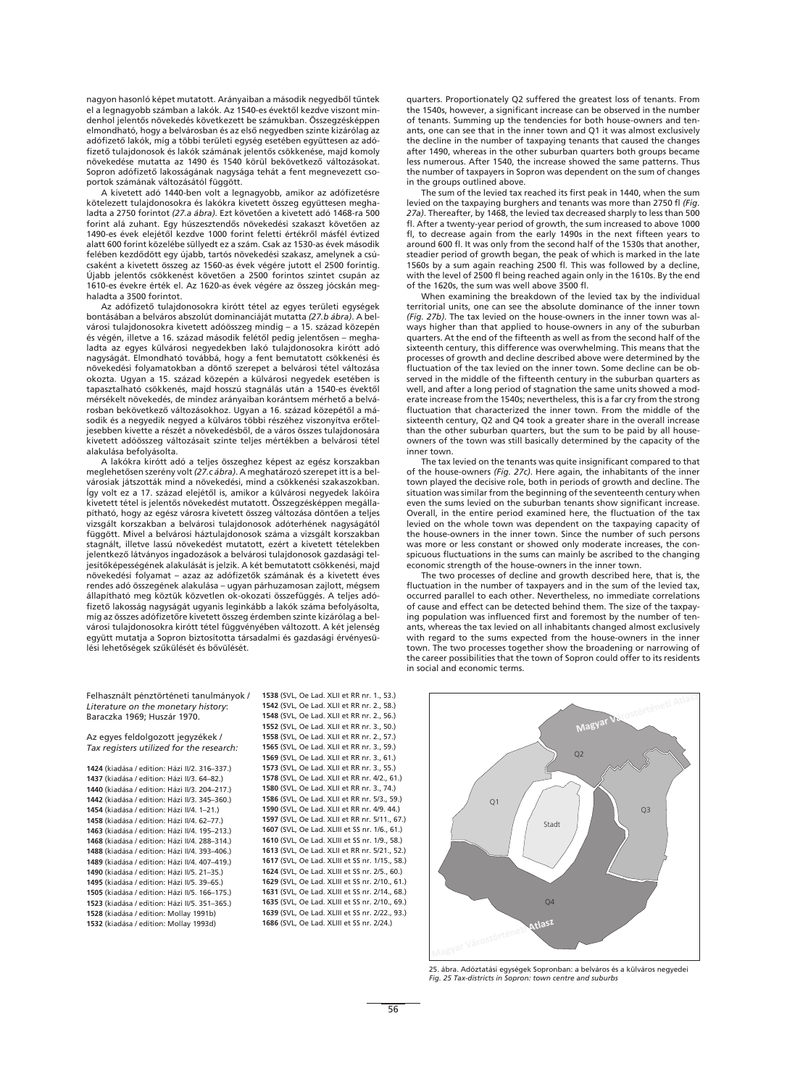nagyon hasonló képet mutatott. Arányaiban a második negyedbôl tûntek el a legnagyobb számban a lakók. Az 1540-es évektôl kezdve viszont mindenhol jelentôs növekedés következett be számukban. Összegzésképpen elmondható, hogy a belvárosban és az elsô negyedben szinte kizárólag az adófizető lakók, míg a többi területi egység esetében együttesen az adófizető tulajdonosok és lakók számának jelentős csökkenése, majd komoly növekedése mutatta az 1490 és 1540 körül bekövetkezô változásokat. Sopron adófizető lakosságának nagysága tehát a fent megnevezett csoportok számának változásától függött.

A kivetett adó 1440-ben volt a legnagyobb, amikor az adófizetésre kötelezett tulajdonosokra és lakókra kivetett összeg együttesen meghaladta a 2750 forintot *(27.a ábra)*. Ezt követôen a kivetett adó 1468-ra 500 forint alá zuhant. Egy húszesztendôs növekedési szakaszt követôen az 1490-es évek elejétôl kezdve 1000 forint feletti értékrôl másfél évtized alatt 600 forint közelébe süllyedt ez a szám. Csak az 1530-as évek második felében kezdôdött egy újabb, tartós növekedési szakasz, amelynek a csúcsaként a kivetett összeg az 1560-as évek végére jutott el 2500 forintig. Újabb jelentôs csökkenést követôen a 2500 forintos szintet csupán az 1610-es évekre érték el. Az 1620-as évek végére az összeg jócskán meghaladta a 3500 forintot.

Az adófizető tulajdonosokra kirótt tétel az egyes területi egységek bontásában a belváros abszolút dominanciáját mutatta *(27.b ábra)*. A belvárosi tulajdonosokra kivetett adóösszeg mindig – a 15. század közepén és végén, illetve a 16. század második felétôl pedig jelentôsen – meghaladta az egyes külvárosi negyedekben lakó tulajdonosokra kirótt adó nagyságát. Elmondható továbbá, hogy a fent bemutatott csökkenési és növekedési folyamatokban a döntô szerepet a belvárosi tétel változása okozta. Ugyan a 15. század közepén a külvárosi negyedek esetében is tapasztalható csökkenés, majd hosszú stagnálás után a 1540-es évektôl mérsékelt növekedés, de mindez arányaiban korántsem mérhetô a belvárosban bekövetkezô változásokhoz. Ugyan a 16. század közepétôl a második és a negyedik negyed a külváros többi részéhez viszonyítva erôteljesebben kivette a részét a növekedésbôl, de a város összes tulajdonosára kivetett adóösszeg változásait szinte teljes mértékben a belvárosi tétel alakulása befolyásolta.

A lakókra kirótt adó a teljes összeghez képest az egész korszakban meglehetôsen szerény volt *(27.c ábra)*. A meghatározó szerepet itt is a belvárosiak játszották mind a növekedési, mind a csökkenési szakaszokban. Így volt ez a 17. század elejétôl is, amikor a külvárosi negyedek lakóira kivetett tétel is jelentôs növekedést mutatott. Összegzésképpen megállapítható, hogy az egész városra kivetett összeg változása döntôen a teljes vizsgált korszakban a belvárosi tulajdonosok adóterhének nagyságától függött. Mivel a belvárosi háztulajdonosok száma a vizsgált korszakban stagnált, illetve lassú növekedést mutatott, ezért a kivetett tételekben jelentkezô látványos ingadozások a belvárosi tulajdonosok gazdasági teljesítôképességének alakulását is jelzik. A két bemutatott csökkenési, majd növekedési folyamat – azaz az adófizetők számának és a kivetett éves rendes adó összegének alakulása – ugyan párhuzamosan zajlott, mégsem állapítható meg köztük közvetlen ok-okozati összefüggés. A teljes adófizető lakosság nagyságát ugyanis leginkább a lakók száma befolyásolta, míg az összes adófizetőre kivetett összeg érdemben szinte kizárólag a belvárosi tulajdonosokra kirótt tétel függvényében változott. A két jelenség együtt mutatja a Sopron biztosította társadalmi és gazdasági érvényesülési lehetôségek szûkülését és bôvülését.

The tax levied on the tenants was quite insignificant compared to that of the house-owners *(Fig. 27c)*. Here again, the inhabitants of the inner town played the decisive role, both in periods of growth and decline. The situation was similar from the beginning of the seventeenth century when even the sums levied on the suburban tenants show significant increase. Overall, in the entire period examined here, the fluctuation of the tax levied on the whole town was dependent on the taxpaying capacity of the house-owners in the inner town. Since the number of such persons was more or less constant or showed only moderate increases, the conspicuous fluctuations in the sums can mainly be ascribed to the changing economic strength of the house-owners in the inner town.

quarters. Proportionately Q2 suffered the greatest loss of tenants. From the 1540s, however, a significant increase can be observed in the number of tenants. Summing up the tendencies for both house-owners and tenants, one can see that in the inner town and Q1 it was almost exclusively the decline in the number of taxpaying tenants that caused the changes after 1490, whereas in the other suburban quarters both groups became less numerous. After 1540, the increase showed the same patterns. Thus the number of taxpayers in Sopron was dependent on the sum of changes in the groups outlined above.

The sum of the levied tax reached its first peak in 1440, when the sum levied on the taxpaying burghers and tenants was more than 2750 fl *(Fig. 27a)*. Thereafter, by 1468, the levied tax decreased sharply to less than 500 fl. After a twenty-year period of growth, the sum increased to above 1000 fl, to decrease again from the early 1490s in the next fifteen years to around 600 fl. It was only from the second half of the 1530s that another, steadier period of growth began, the peak of which is marked in the late 1560s by a sum again reaching 2500 fl. This was followed by a decline, with the level of 2500 fl being reached again only in the 1610s. By the end of the 1620s, the sum was well above 3500 fl.

When examining the breakdown of the levied tax by the individual territorial units, one can see the absolute dominance of the inner town *(Fig. 27b)*. The tax levied on the house-owners in the inner town was always higher than that applied to house-owners in any of the suburban quarters. At the end of the fifteenth as well as from the second half of the sixteenth century, this difference was overwhelming. This means that the processes of growth and decline described above were determined by the fluctuation of the tax levied on the inner town. Some decline can be observed in the middle of the fifteenth century in the suburban quarters as well, and after a long period of stagnation the same units showed a moderate increase from the 1540s; nevertheless, this is a far cry from the strong fluctuation that characterized the inner town. From the middle of the sixteenth century, Q2 and Q4 took a greater share in the overall increase than the other suburban quarters, but the sum to be paid by all houseowners of the town was still basically determined by the capacity of the inner town.

The two processes of decline and growth described here, that is, the fluctuation in the number of taxpayers and in the sum of the levied tax, occurred parallel to each other. Nevertheless, no immediate correlations of cause and effect can be detected behind them. The size of the taxpaying population was influenced first and foremost by the number of tenants, whereas the tax levied on all inhabitants changed almost exclusively with regard to the sums expected from the house-owners in the inner town. The two processes together show the broadening or narrowing of the career possibilities that the town of Sopron could offer to its residents in social and economic terms.

56



25. ábra. Adóztatási egységek Sopronban: a belváros és a külváros negyedei *Fig. 25 Tax-districts in Sopron: town centre and suburbs*

Felhasznált pénztörténeti tanulmányok / *Literature on the monetary history*: Baraczka 1969; Huszár 1970.

Az egyes feldolgozott jegyzékek / *Tax registers utilized for the research:*

**1424** (kiadása / edition: Házi II/2. 316–337.)

 (kiadása / edition: Házi II/3. 64–82.) (kiadása / edition: Házi II/3. 204–217.) (kiadása / edition: Házi II/3. 345–360.) (kiadása / edition: Házi II/4. 1–21.) (kiadása / edition: Házi II/4. 62–77.) (kiadása / edition: Házi II/4. 195–213.) (kiadása / edition: Házi II/4. 288–314.) (kiadása / edition: Házi II/4. 393–406.) (kiadása / edition: Házi II/4. 407–419.) (kiadása / edition: Házi II/5. 21–35.) (kiadása / edition: Házi II/5. 39–65.) (kiadása / edition: Házi II/5. 166–175.) (kiadása / edition: Házi II/5. 351–365.) (kiadása / edition: Mollay 1991b) (kiadása / edition: Mollay 1993d)

 (SVL, Oe Lad. XLII et RR nr. 1., 53.) (SVL, Oe Lad. XLII et RR nr. 2., 58.) (SVL, Oe Lad. XLII et RR nr. 2., 56.) (SVL, Oe Lad. XLII et RR nr. 3., 50.) (SVL, Oe Lad. XLII et RR nr. 2., 57.) (SVL, Oe Lad. XLII et RR nr. 3., 59.) (SVL, Oe Lad. XLII et RR nr. 3., 61.) (SVL, Oe Lad. XLII et RR nr. 3., 55.) (SVL, Oe Lad. XLII et RR nr. 4/2., 61.) (SVL, Oe Lad. XLII et RR nr. 3., 74.) (SVL, Oe Lad. XLII et RR nr. 5/3., 59.) (SVL, Oe Lad. XLII et RR nr. 4/9. 44.) (SVL, Oe Lad. XLII et RR nr. 5/11., 67.) (SVL, Oe Lad. XLIII et SS nr. 1/6., 61.) (SVL, Oe Lad. XLIII et SS nr. 1/9., 58.) (SVL, Oe Lad. XLII et RR nr. 5/21., 52.) (SVL, Oe Lad. XLIII et SS nr. 1/15., 58.) (SVL, Oe Lad. XLIII et SS nr. 2/5., 60.) (SVL, Oe Lad. XLIII et SS nr. 2/10., 61.) (SVL, Oe Lad. XLIII et SS nr. 2/14., 68.) (SVL, Oe Lad. XLIII et SS nr. 2/10., 69.) (SVL, Oe Lad. XLIII et SS nr. 2/22., 93.) (SVL, Oe Lad. XLIII et SS nr. 2/24.)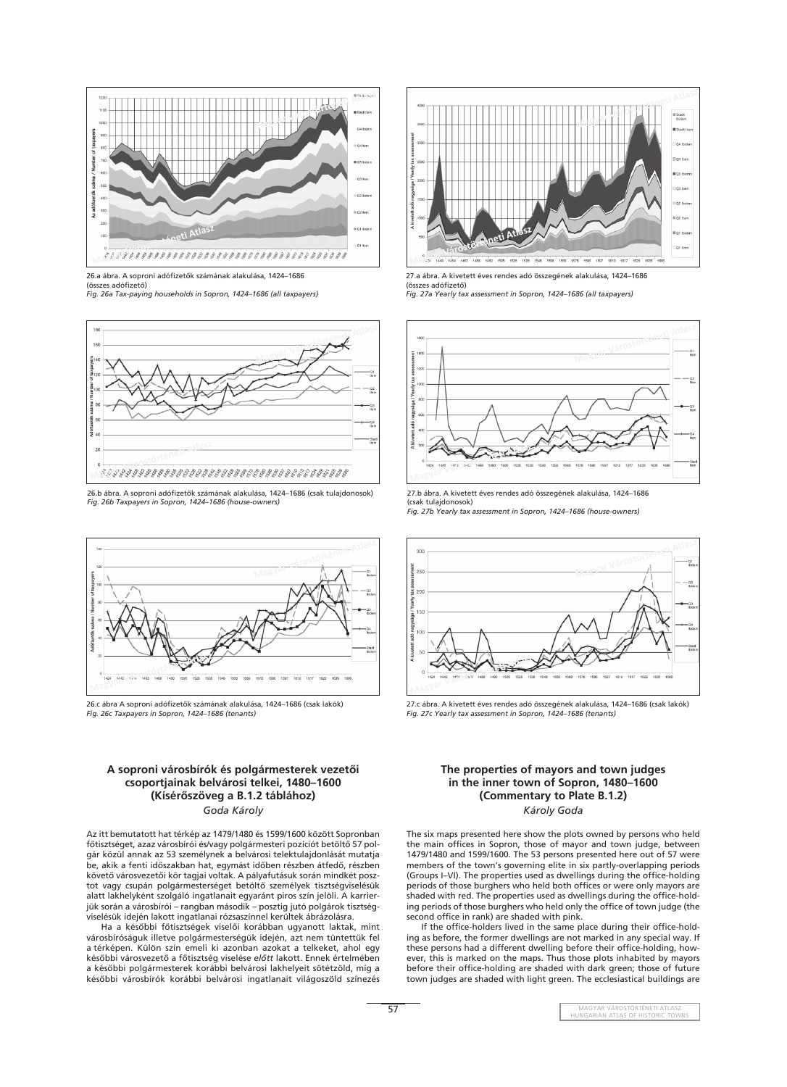**57 MAGYAR VÁROSTÖRTÉNETI ATLASZ** HUNGARIAN ATLAS OF HISTORIC TOWNS



26.b ábra. A soproni adófizetők számának alakulása, 1424–1686 (csak tulajdonosok) *Fig. 26b Taxpayers in Sopron, 1424–1686 (house-owners)*



26.c ábra A soproni adófizetők számának alakulása, 1424–1686 (csak lakók) *Fig. 26c Taxpayers in Sopron, 1424–1686 (tenants)*



26.a ábra. A soproni adófizetők számának alakulása, 1424-1686 (összes adófizető) *Fig. 26a Tax-paying households in Sopron, 1424–1686 (all taxpayers)*



27.a ábra. A kivetett éves rendes adó összegének alakulása, 1424–1686 (összes adófizető) *Fig. 27a Yearly tax assessment in Sopron, 1424–1686 (all taxpayers)*



27.b ábra. A kivetett éves rendes adó összegének alakulása, 1424–1686 (csak tulajdonosok) *Fig. 27b Yearly tax assessment in Sopron, 1424–1686 (house-owners)*



27.c ábra. A kivetett éves rendes adó összegének alakulása, 1424–1686 (csak lakók) *Fig. 27c Yearly tax assessment in Sopron, 1424–1686 (tenants)*

#### **A soproni városbírók és polgármesterek vezetôi**

## **csoportjainak belvárosi telkei, 1480–1600 (Kísérôszöveg a B.1.2 táblához)** *Goda Károly*

The six maps presented here show the plots owned by persons who held the main offices in Sopron, those of mayor and town judge, between 1479/1480 and 1599/1600. The 53 persons presented here out of 57 were members of the town's governing elite in six partly-overlapping periods (Groups I–VI). The properties used as dwellings during the office-holding periods of those burghers who held both offices or were only mayors are shaded with red. The properties used as dwellings during the office-holding periods of those burghers who held only the office of town judge (the second office in rank) are shaded with pink.

Az itt bemutatott hat térkép az 1479/1480 és 1599/1600 között Sopronban fôtisztséget, azaz városbírói és/vagy polgármesteri pozíciót betöltô 57 polgár közül annak az 53 személynek a belvárosi telektulajdonlását mutatja be, akik a fenti idôszakban hat, egymást idôben részben átfedô, részben követô városvezetôi kör tagjai voltak. A pályafutásuk során mindkét posztot vagy csupán polgármesterséget betöltô személyek tisztségviselésük alatt lakhelyként szolgáló ingatlanait egyaránt piros szín jelöli. A karrierjük során a városbírói – rangban második – posztig jutó polgárok tisztségviselésük idején lakott ingatlanai rózsaszínnel kerültek ábrázolásra.

> If the office-holders lived in the same place during their office-holding as before, the former dwellings are not marked in any special way. If these persons had a different dwelling before their office-holding, however, this is marked on the maps. Thus those plots inhabited by mayors before their office-holding are shaded with dark green; those of future town judges are shaded with light green. The ecclesiastical buildings are

Ha a késôbbi fôtisztségek viselôi korábban ugyanott laktak, mint városbíróságuk illetve polgármesterségük idején, azt nem tüntettük fel a térképen. Külön szín emeli ki azonban azokat a telkeket, ahol egy késôbbi városvezetô a fôtisztség viselése *elôtt* lakott. Ennek értelmében a késôbbi polgármesterek korábbi belvárosi lakhelyeit sötétzöld, míg a késôbbi városbírók korábbi belvárosi ingatlanait világoszöld színezés

#### **The properties of mayors and town judges**

## **in the inner town of Sopron, 1480–1600 (Commentary to Plate B.1.2)** *Károly Goda*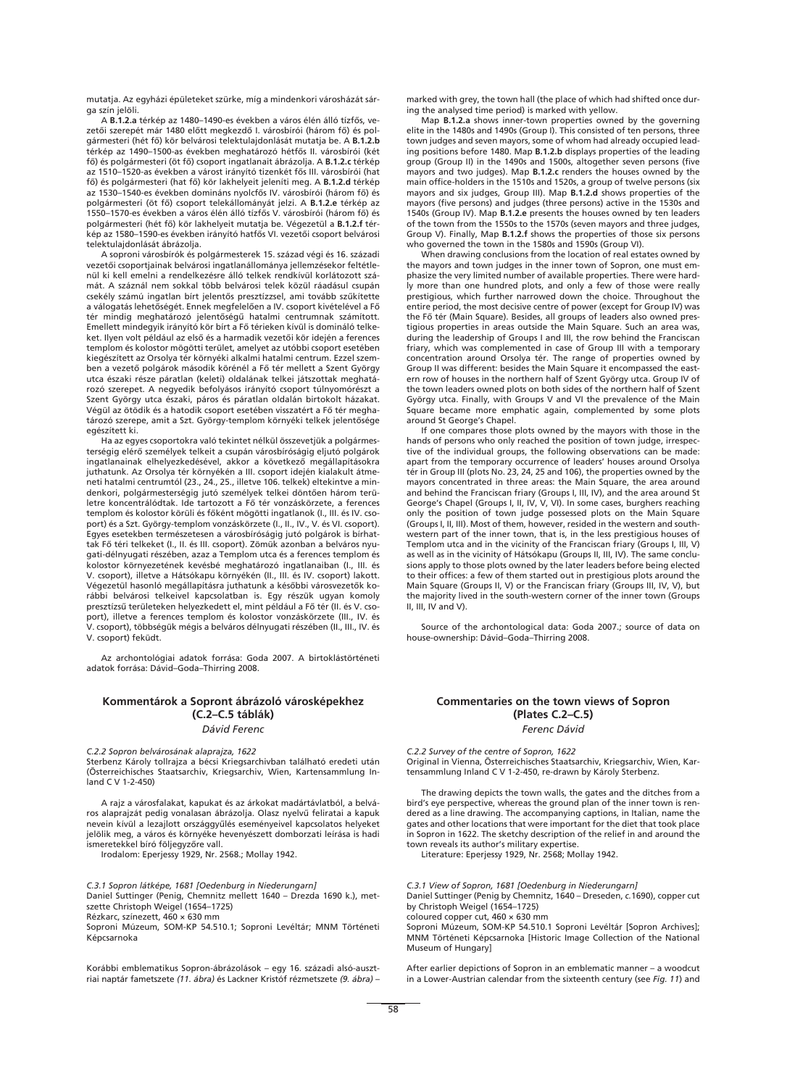mutatja. Az egyházi épületeket szürke, míg a mindenkori városházát sárga szín jelöli.

A **B.1.2.a** térkép az 1480–1490-es években a város élén álló tízfôs, vezetői szerepét már 1480 előtt megkezdő I. városbírói (három fő) és polgármesteri (hét fô) kör belvárosi telektulajdonlását mutatja be. A **B.1.2.b** térkép az 1490–1500-as években meghatározó hétfôs II. városbírói (két fô) és polgármesteri (öt fô) csoport ingatlanait ábrázolja. A **B.1.2.c** térkép az 1510–1520-as években a várost irányító tizenkét fôs III. városbírói (hat fô) és polgármesteri (hat fô) kör lakhelyeit jeleníti meg. A **B.1.2.d** térkép az 1530–1540-es években domináns nyolcfôs IV. városbírói (három fô) és polgármesteri (öt fô) csoport telekállományát jelzi. A **B.1.2.e** térkép az 1550–1570-es években a város élén álló tízfôs V. városbírói (három fô) és polgármesteri (hét fô) kör lakhelyeit mutatja be. Végezetül a **B.1.2.f** térkép az 1580–1590-es években irányító hatfôs VI. vezetôi csoport belvárosi telektulajdonlását ábrázolja.

A soproni városbírók és polgármesterek 15. század végi és 16. századi vezetôi csoportjainak belvárosi ingatlanállománya jellemzésekor feltétlenül ki kell emelni a rendelkezésre álló telkek rendkívül korlátozott számát. A száznál nem sokkal több belvárosi telek közül ráadásul csupán csekély számú ingatlan bírt jelentôs presztízzsel, ami tovább szûkítette a válogatás lehetôségét. Ennek megfelelôen a IV. csoport kivételével a Fô tér mindig meghatározó jelentôségû hatalmi centrumnak számított. Emellett mindegyik irányító kör bírt a Fô térieken kívül is domináló telkeket. Ilyen volt például az elsô és a harmadik vezetôi kör idején a ferences templom és kolostor mögötti terület, amelyet az utóbbi csoport esetében kiegészített az Orsolya tér környéki alkalmi hatalmi centrum. Ezzel szemben a vezetô polgárok második körénél a Fô tér mellett a Szent György utca északi része páratlan (keleti) oldalának telkei játszottak meghatározó szerepet. A negyedik befolyásos irányító csoport túlnyomórészt a Szent György utca északi, páros és páratlan oldalán birtokolt házakat. Végül az ötödik és a hatodik csoport esetében visszatért a Fô tér meghatározó szerepe, amit a Szt. György-templom környéki telkek jelentôsége egészített ki.

*C.3.1 Sopron látképe, 1681 [Oedenburg in Niederungarn]* Daniel Suttinger (Penig, Chemnitz mellett 1640 – Drezda 1690 k.), metszette Christoph Weigel (1654–1725) Rézkarc, színezett, 460 × 630 mm Soproni Múzeum, SOM-KP 54.510.1; Soproni Levéltár; MNM Történeti Képcsarnoka

Ha az egyes csoportokra való tekintet nélkül összevetjük a polgármesterségig elérô személyek telkeit a csupán városbíróságig eljutó polgárok ingatlanainak elhelyezkedésével, akkor a következô megállapításokra juthatunk. Az Orsolya tér környékén a III. csoport idején kialakult átmeneti hatalmi centrumtól (23., 24., 25., illetve 106. telkek) eltekintve a mindenkori, polgármesterségig jutó személyek telkei döntôen három területre koncentrálódtak. Ide tartozott a Fô tér vonzáskörzete, a ferences templom és kolostor körüli és fôként mögötti ingatlanok (I., III. és IV. csoport) és a Szt. György-templom vonzáskörzete (I., II., IV., V. és VI. csoport). Egyes esetekben természetesen a városbíróságig jutó polgárok is bírhattak Fô téri telkeket (I., II. és III. csoport). Zömük azonban a belváros nyugati-délnyugati részében, azaz a Templom utca és a ferences templom és kolostor környezetének kevésbé meghatározó ingatlanaiban (I., III. és V. csoport), illetve a Hátsókapu környékén (II., III. és IV. csoport) lakott. Végezetül hasonló megállapításra juthatunk a késôbbi városvezetôk korábbi belvárosi telkeivel kapcsolatban is. Egy részük ugyan komoly presztízsû területeken helyezkedett el, mint például a Fô tér (II. és V. csoport), illetve a ferences templom és kolostor vonzáskörzete (III., IV. és V. csoport), többségük mégis a belváros délnyugati részében (II., III., IV. és V. csoport) feküdt.

Az archontológiai adatok forrása: Goda 2007. A birtoklástörténeti adatok forrása: Dávid–Goda–Thirring 2008.

# **Kommentárok a Sopront ábrázoló városképekhez (C.2–C.5 táblák)**

#### *Dávid Ferenc*

*C.2.2 Sopron belvárosának alaprajza, 1622*

Sterbenz Károly tollrajza a bécsi Kriegsarchivban található eredeti után (Österreichisches Staatsarchiv, Kriegsarchiv, Wien, Kartensammlung In-

land C V 1-2-450)

A rajz a városfalakat, kapukat és az árkokat madártávlatból, a belváros alaprajzát pedig vonalasan ábrázolja. Olasz nyelvû feliratai a kapuk nevein kívül a lezajlott országgyûlés eseményeivel kapcsolatos helyeket jelölik meg, a város és környéke hevenyészett domborzati leírása is hadi ismeretekkel bíró följegyzôre vall.

Irodalom: Eperjessy 1929, Nr. 2568.; Mollay 1942.

Korábbi emblematikus Sopron-ábrázolások – egy 16. századi alsó-ausztriai naptár fametszete *(11. ábra)* és Lackner Kristóf rézmetszete *(9. ábra)* – marked with grey, the town hall (the place of which had shifted once during the analysed time period) is marked with yellow.

Map **B.1.2.a** shows inner-town properties owned by the governing elite in the 1480s and 1490s (Group I). This consisted of ten persons, three town judges and seven mayors, some of whom had already occupied leading positions before 1480. Map **B.1.2.b** displays properties of the leading group (Group II) in the 1490s and 1500s, altogether seven persons (five mayors and two judges). Map **B.1.2.c** renders the houses owned by the main office-holders in the 1510s and 1520s, a group of twelve persons (six mayors and six judges, Group III). Map **B.1.2.d** shows properties of the mayors (five persons) and judges (three persons) active in the 1530s and 1540s (Group IV). Map **B.1.2.e** presents the houses owned by ten leaders of the town from the 1550s to the 1570s (seven mayors and three judges, Group V). Finally, Map **B.1.2.f** shows the properties of those six persons who governed the town in the 1580s and 1590s (Group VI).

When drawing conclusions from the location of real estates owned by the mayors and town judges in the inner town of Sopron, one must emphasize the very limited number of available properties. There were hardly more than one hundred plots, and only a few of those were really prestigious, which further narrowed down the choice. Throughout the entire period, the most decisive centre of power (except for Group IV) was the Fô tér (Main Square). Besides, all groups of leaders also owned prestigious properties in areas outside the Main Square. Such an area was, during the leadership of Groups I and III, the row behind the Franciscan friary, which was complemented in case of Group III with a temporary concentration around Orsolya tér. The range of properties owned by Group II was different: besides the Main Square it encompassed the eastern row of houses in the northern half of Szent György utca. Group IV of the town leaders owned plots on both sides of the northern half of Szent György utca. Finally, with Groups V and VI the prevalence of the Main Square became more emphatic again, complemented by some plots around St George's Chapel.

If one compares those plots owned by the mayors with those in the hands of persons who only reached the position of town judge, irrespective of the individual groups, the following observations can be made: apart from the temporary occurrence of leaders' houses around Orsolya tér in Group III (plots No. 23, 24, 25 and 106), the properties owned by the mayors concentrated in three areas: the Main Square, the area around and behind the Franciscan friary (Groups I, III, IV), and the area around St George's Chapel (Groups I, II, IV, V, VI). In some cases, burghers reaching only the position of town judge possessed plots on the Main Square (Groups I, II, III). Most of them, however, resided in the western and southwestern part of the inner town, that is, in the less prestigious houses of Templom utca and in the vicinity of the Franciscan friary (Groups I, III, V) as well as in the vicinity of Hátsókapu (Groups II, III, IV). The same conclusions apply to those plots owned by the later leaders before being elected to their offices: a few of them started out in prestigious plots around the Main Square (Groups II, V) or the Franciscan friary (Groups III, IV, V), but the majority lived in the south-western corner of the inner town (Groups II, III, IV and V).

Source of the archontological data: Goda 2007.; source of data on house-ownership: Dávid–Goda–Thirring 2008.

# **Commentaries on the town views of Sopron (Plates C.2–C.5)**

*Ferenc Dávid*

*C.2.2 Survey of the centre of Sopron, 1622* 

Original in Vienna, Österreichisches Staatsarchiv, Kriegsarchiv, Wien, Kartensammlung Inland C V 1-2-450, re-drawn by Károly Sterbenz.

The drawing depicts the town walls, the gates and the ditches from a bird's eye perspective, whereas the ground plan of the inner town is rendered as a line drawing. The accompanying captions, in Italian, name the gates and other locations that were important for the diet that took place in Sopron in 1622. The sketchy description of the relief in and around the town reveals its author's military expertise.

Literature: Eperjessy 1929, Nr. 2568; Mollay 1942.

*C.3.1 View of Sopron, 1681 [Oedenburg in Niederungarn]* Daniel Suttinger (Penig by Chemnitz, 1640 – Dreseden, *c.*1690), copper cut by Christoph Weigel (1654–1725) coloured copper cut,  $460 \times 630$  mm Soproni Múzeum, SOM-KP 54.510.1 Soproni Levéltár [Sopron Archives]; MNM Történeti Képcsarnoka [Historic Image Collection of the National Museum of Hungary]

After earlier depictions of Sopron in an emblematic manner – a woodcut in a Lower-Austrian calendar from the sixteenth century (see *Fig. 11*) and

58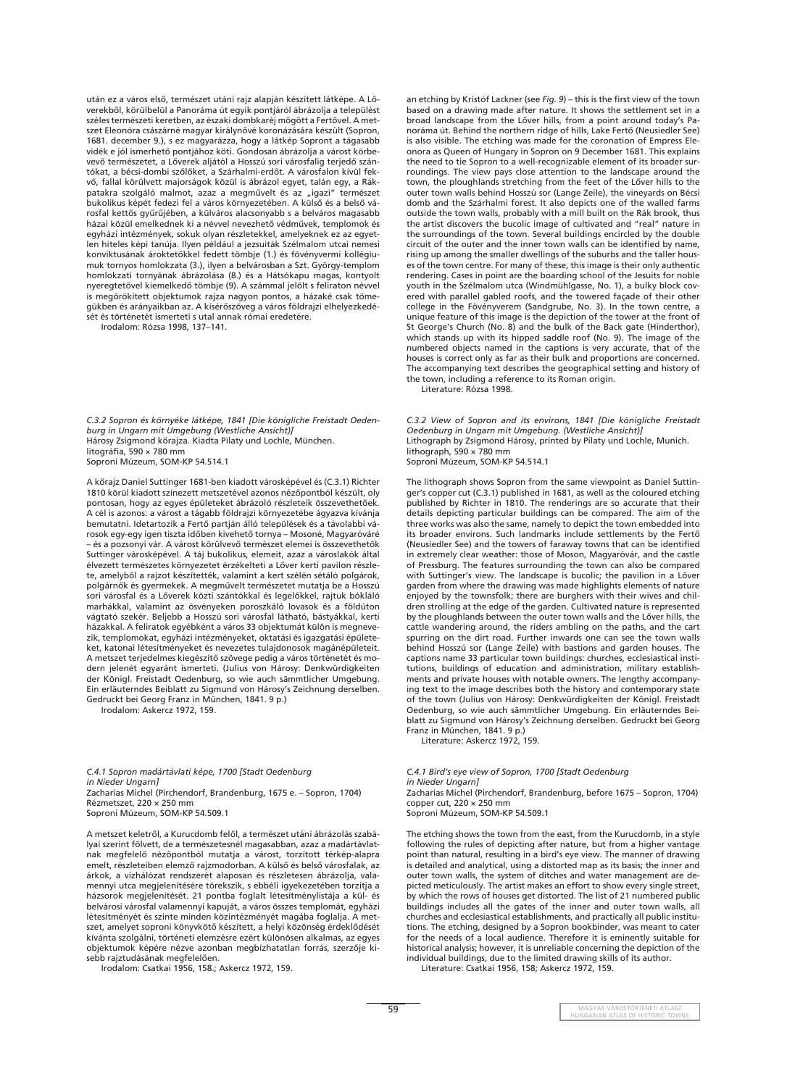után ez a város elsô, természet utáni rajz alapján készített látképe. A Lôverekbôl, körülbelül a Panoráma út egyik pontjáról ábrázolja a települést széles természeti keretben, az északi dombkaréj mögött a Fertôvel. A metszet Eleonóra császárné magyar királynôvé koronázására készült (Sopron, 1681. december 9.), s ez magyarázza, hogy a látkép Sopront a tágasabb vidék e jól ismerhetô pontjához köti. Gondosan ábrázolja a várost körbevevô természetet, a Lôverek aljától a Hosszú sori városfalig terjedô szántókat, a bécsi-dombi szôlôket, a Szárhalmi-erdôt. A városfalon kívül fekvô, fallal körülvett majorságok közül is ábrázol egyet, talán egy, a Rákpatakra szolgáló malmot, azaz a megművelt és az "igazi" természet bukolikus képét fedezi fel a város környezetében. A külsô és a belsô városfal kettôs gyûrûjében, a külváros alacsonyabb s a belváros magasabb házai közül emelkednek ki a névvel nevezhetô védmûvek, templomok és egyházi intézmények, sokuk olyan részletekkel, amelyeknek ez az egyetlen hiteles képi tanúja. Ilyen például a jezsuiták Szélmalom utcai nemesi konviktusának ároktetôkkel fedett tömbje (1.) és fövényvermi kollégiumuk tornyos homlokzata (3.), ilyen a belvárosban a Szt. György-templom homlokzati tornyának ábrázolása (8.) és a Hátsókapu magas, kontyolt nyeregtetôvel kiemelkedô tömbje (9). A számmal jelölt s feliraton névvel is megörökített objektumok rajza nagyon pontos, a házaké csak tömegükben és arányaikban az. A kísérôszöveg a város földrajzi elhelyezkedését és történetét ismerteti s utal annak római eredetére.

Irodalom: Rózsa 1998, 137–141.

*C.3.2 Sopron és környéke látképe, 1841 [Die königliche Freistadt Oedenburg in Ungarn mit Umgebung (Westliche Ansicht)]* Hárosy Zsigmond kôrajza. Kiadta Pilaty und Lochle, München. litográfia, 590 × 780 mm Soproni Múzeum, SOM-KP 54.514.1

A kôrajz Daniel Suttinger 1681-ben kiadott városképével és (C.3.1) Richter 1810 körül kiadott színezett metszetével azonos nézôpontból készült, oly pontosan, hogy az egyes épületeket ábrázoló részleteik összevethetôek. A cél is azonos: a várost a tágabb földrajzi környezetébe ágyazva kívánja bemutatni. Idetartozik a Fertô partján álló települések és a távolabbi városok egy-egy igen tiszta idôben kivehetô tornya – Mosoné, Magyaróváré – és a pozsonyi vár. A várost körülvevô természet elemei is összevethetôk Suttinger városképével. A táj bukolikus, elemeit, azaz a városlakók által élvezett természetes környezetet érzékelteti a Lôver kerti pavilon részlete, amelybôl a rajzot készítették, valamint a kert szélén sétáló polgárok, polgárnôk és gyermekek. A megmûvelt természetet mutatja be a Hosszú sori városfal és a Lôverek közti szántókkal és legelôkkel, rajtuk bókláló marhákkal, valamint az ösvényeken poroszkáló lovasok és a földúton vágtató szekér. Beljebb a Hosszú sori városfal látható, bástyákkal, kerti házakkal. A feliratok egyébként a város 33 objektumát külön is megnevezik, templomokat, egyházi intézményeket, oktatási és igazgatási épületeket, katonai létesítményeket és nevezetes tulajdonosok magánépületeit. A metszet terjedelmes kiegészítô szövege pedig a város történetét és modern jelenét egyaránt ismerteti. (Julius von Hárosy: Denkwürdigkeiten der Königl. Freistadt Oedenburg, so wie auch sämmtlicher Umgebung. Ein erläuterndes Beiblatt zu Sigmund von Hárosy's Zeichnung derselben. Gedruckt bei Georg Franz in München, 1841. 9 p.)

an etching by Kristóf Lackner (see *Fig. 9*) – this is the first view of the town based on a drawing made after nature. It shows the settlement set in a broad landscape from the Lôver hills, from a point around today's Panoráma út. Behind the northern ridge of hills, Lake Fertô (Neusiedler See) is also visible. The etching was made for the coronation of Empress Eleonora as Queen of Hungary in Sopron on 9 December 1681. This explains the need to tie Sopron to a well-recognizable element of its broader surroundings. The view pays close attention to the landscape around the town, the ploughlands stretching from the feet of the Lôver hills to the outer town walls behind Hosszú sor (Lange Zeile), the vineyards on Bécsi domb and the Szárhalmi forest. It also depicts one of the walled farms outside the town walls, probably with a mill built on the Rák brook, thus the artist discovers the bucolic image of cultivated and "real" nature in the surroundings of the town. Several buildings encircled by the double circuit of the outer and the inner town walls can be identified by name, rising up among the smaller dwellings of the suburbs and the taller houses of the town centre. For many of these, this image is their only authentic rendering. Cases in point are the boarding school of the Jesuits for noble youth in the Szélmalom utca (Windmühlgasse, No. 1), a bulky block covered with parallel gabled roofs, and the towered façade of their other college in the Fövényverem (Sandgrube, No. 3). In the town centre, a unique feature of this image is the depiction of the tower at the front of St George's Church (No. 8) and the bulk of the Back gate (Hinderthor), which stands up with its hipped saddle roof (No. 9). The image of the numbered objects named in the captions is very accurate, that of the houses is correct only as far as their bulk and proportions are concerned. The accompanying text describes the geographical setting and history of the town, including a reference to its Roman origin.

Irodalom: Askercz 1972, 159.

*in Nieder Ungarn]* Zacharias Michel (Pirchendorf, Brandenburg, 1675 e. – Sopron, 1704) Rézmetszet, 220 × 250 mm Soproni Múzeum, SOM-KP 54.509.1

A metszet keletrôl, a Kurucdomb felôl, a természet utáni ábrázolás szabályai szerint fölvett, de a természetesnél magasabban, azaz a madártávlatnak megfelelô nézôpontból mutatja a várost, torzított térkép-alapra emelt, részleteiben elemzô rajzmodorban. A külsô és belsô városfalak, az árkok, a vízhálózat rendszerét alaposan és részletesen ábrázolja, valamennyi utca megjelenítésére törekszik, s ebbéli igyekezetében torzítja a házsorok megjelenítését. 21 pontba foglalt létesítménylistája a kül- és belvárosi városfal valamennyi kapuját, a város összes templomát, egyházi létesítményét és szinte minden közintézményét magába foglalja. A metszet, amelyet soproni könyvkötô készített, a helyi közönség érdeklôdését kívánta szolgálni, történeti elemzésre ezért különösen alkalmas, az egyes objektumok képére nézve azonban megbízhatatlan forrás, szerzôje kisebb rajztudásának megfelelôen.

Irodalom: Csatkai 1956, 158.; Askercz 1972, 159.

**59** MAGYAR VÁROSTÖRTÉNETI ATLASZ HUNGARIAN ATLAS OF HISTORIC TOWNS

Literature: Rózsa 1998.

*C.3.2 View of Sopron and its environs, 1841 [Die königliche Freistadt Oedenburg in Ungarn mit Umgebung. (Westliche Ansicht)]* Lithograph by Zsigmond Hárosy, printed by Pilaty und Lochle, Munich. lithograph, 590 × 780 mm Soproni Múzeum, SOM-KP 54.514.1

The lithograph shows Sopron from the same viewpoint as Daniel Suttinger's copper cut (C.3.1) published in 1681, as well as the coloured etching published by Richter in 1810. The renderings are so accurate that their details depicting particular buildings can be compared. The aim of the three works was also the same, namely to depict the town embedded into its broader environs. Such landmarks include settlements by the Fertô (Neusiedler See) and the towers of faraway towns that can be identified in extremely clear weather: those of Moson, Magyaróvár, and the castle of Pressburg. The features surrounding the town can also be compared with Suttinger's view. The landscape is bucolic; the pavilion in a Lôver garden from where the drawing was made highlights elements of nature enjoyed by the townsfolk; there are burghers with their wives and children strolling at the edge of the garden. Cultivated nature is represented by the ploughlands between the outer town walls and the Lôver hills, the cattle wandering around, the riders ambling on the paths, and the cart spurring on the dirt road. Further inwards one can see the town walls behind Hosszú sor (Lange Zeile) with bastions and garden houses. The captions name 33 particular town buildings: churches, ecclesiastical institutions, buildings of education and administration, military establishments and private houses with notable owners. The lengthy accompanying text to the image describes both the history and contemporary state of the town (Julius von Hárosy: Denkwürdigkeiten der Königl. Freistadt Oedenburg, so wie auch sämmtlicher Umgebung. Ein erläuterndes Beiblatt zu Sigmund von Hárosy's Zeichnung derselben. Gedruckt bei Georg Franz in München, 1841. 9 p.)

Literature: Askercz 1972, 159.

*in Nieder Ungarn]* Zacharias Michel (Pirchendorf, Brandenburg, before 1675 – Sopron, 1704) copper cut,  $220 \times 250$  mm Soproni Múzeum, SOM-KP 54.509.1

The etching shows the town from the east, from the Kurucdomb, in a style following the rules of depicting after nature, but from a higher vantage point than natural, resulting in a bird's eye view. The manner of drawing is detailed and analytical, using a distorted map as its basis; the inner and outer town walls, the system of ditches and water management are depicted meticulously. The artist makes an effort to show every single street, by which the rows of houses get distorted. The list of 21 numbered public buildings includes all the gates of the inner and outer town walls, all churches and ecclesiastical establishments, and practically all public institutions. The etching, designed by a Sopron bookbinder, was meant to cater for the needs of a local audience. Therefore it is eminently suitable for historical analysis; however, it is unreliable concerning the depiction of the individual buildings, due to the limited drawing skills of its author.

Literature: Csatkai 1956, 158; Askercz 1972, 159.